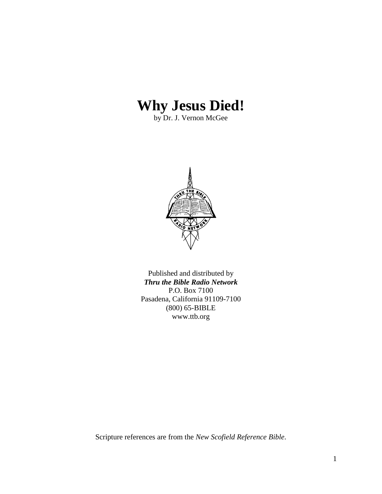# **Why Jesus Died!**

by Dr. J. Vernon McGee



Published and distributed by *Thru the Bible Radio Network* P.O. Box 7100 Pasadena, California 91109-7100 (800) 65-BIBLE www.ttb.org

Scripture references are from the *New Scofield Reference Bible*.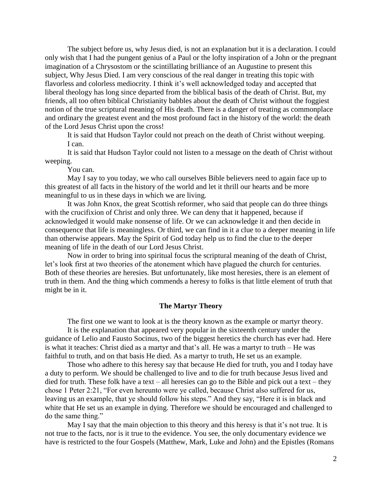The subject before us, why Jesus died, is not an explanation but it is a declaration. I could only wish that I had the pungent genius of a Paul or the lofty inspiration of a John or the pregnant imagination of a Chrysostom or the scintillating brilliance of an Augustine to present this subject, Why Jesus Died. I am very conscious of the real danger in treating this topic with flavorless and colorless mediocrity. I think it's well acknowledged today and accepted that liberal theology has long since departed from the biblical basis of the death of Christ. But, my friends, all too often biblical Christianity babbles about the death of Christ without the foggiest notion of the true scriptural meaning of His death. There is a danger of treating as commonplace and ordinary the greatest event and the most profound fact in the history of the world: the death of the Lord Jesus Christ upon the cross!

It is said that Hudson Taylor could not preach on the death of Christ without weeping. I can.

It is said that Hudson Taylor could not listen to a message on the death of Christ without weeping.

You can.

May I say to you today, we who call ourselves Bible believers need to again face up to this greatest of all facts in the history of the world and let it thrill our hearts and be more meaningful to us in these days in which we are living.

It was John Knox, the great Scottish reformer, who said that people can do three things with the crucifixion of Christ and only three. We can deny that it happened, because if acknowledged it would make nonsense of life. Or we can acknowledge it and then decide in consequence that life is meaningless. Or third, we can find in it a clue to a deeper meaning in life than otherwise appears. May the Spirit of God today help us to find the clue to the deeper meaning of life in the death of our Lord Jesus Christ.

Now in order to bring into spiritual focus the scriptural meaning of the death of Christ, let's look first at two theories of the atonement which have plagued the church for centuries. Both of these theories are heresies. But unfortunately, like most heresies, there is an element of truth in them. And the thing which commends a heresy to folks is that little element of truth that might be in it.

## **The Martyr Theory**

The first one we want to look at is the theory known as the example or martyr theory.

It is the explanation that appeared very popular in the sixteenth century under the guidance of Lelio and Fausto Socinus, two of the biggest heretics the church has ever had. Here is what it teaches: Christ died as a martyr and that's all. He was a martyr to truth – He was faithful to truth, and on that basis He died. As a martyr to truth, He set us an example.

Those who adhere to this heresy say that because He died for truth, you and I today have a duty to perform. We should be challenged to live and to die for truth because Jesus lived and died for truth. These folk have a text – all heresies can go to the Bible and pick out a text – they chose 1 Peter 2:21, "For even hereunto were ye called, because Christ also suffered for us, leaving us an example, that ye should follow his steps." And they say, "Here it is in black and white that He set us an example in dying. Therefore we should be encouraged and challenged to do the same thing."

May I say that the main objection to this theory and this heresy is that it's not true. It is not true to the facts, nor is it true to the evidence. You see, the only documentary evidence we have is restricted to the four Gospels (Matthew, Mark, Luke and John) and the Epistles (Romans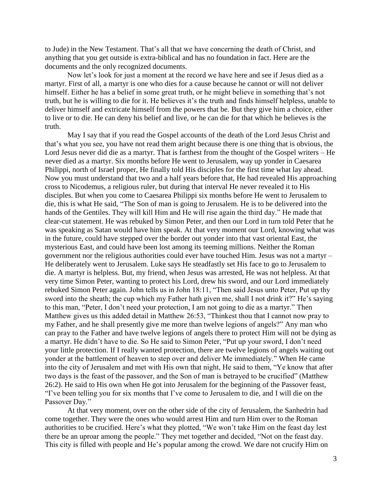to Jude) in the New Testament. That's all that we have concerning the death of Christ, and anything that you get outside is extra-biblical and has no foundation in fact. Here are the documents and the only recognized documents.

Now let's look for just a moment at the record we have here and see if Jesus died as a martyr. First of all, a martyr is one who dies for a cause because he cannot or will not deliver himself. Either he has a belief in some great truth, or he might believe in something that's not truth, but he is willing to die for it. He believes it's the truth and finds himself helpless, unable to deliver himself and extricate himself from the powers that be. But they give him a choice, either to live or to die. He can deny his belief and live, or he can die for that which he believes is the truth.

May I say that if you read the Gospel accounts of the death of the Lord Jesus Christ and that's what you see, you have not read them aright because there is one thing that is obvious, the Lord Jesus never did die as a martyr. That is farthest from the thought of the Gospel writers – He never died as a martyr. Six months before He went to Jerusalem, way up yonder in Caesarea Philippi, north of Israel proper, He finally told His disciples for the first time what lay ahead. Now you must understand that two and a half years before that, He had revealed His approaching cross to Nicodemus, a religious ruler, but during that interval He never revealed it to His disciples. But when you come to Caesarea Philippi six months before He went to Jerusalem to die, this is what He said, "The Son of man is going to Jerusalem. He is to be delivered into the hands of the Gentiles. They will kill Him and He will rise again the third day." He made that clear-cut statement. He was rebuked by Simon Peter, and then our Lord in turn told Peter that he was speaking as Satan would have him speak. At that very moment our Lord, knowing what was in the future, could have stepped over the border out yonder into that vast oriental East, the mysterious East, and could have been lost among its teeming millions. Neither the Roman government nor the religious authorities could ever have touched Him. Jesus was not a martyr – He deliberately went to Jerusalem. Luke says He steadfastly set His face to go to Jerusalem to die. A martyr is helpless. But, my friend, when Jesus was arrested, He was not helpless. At that very time Simon Peter, wanting to protect his Lord, drew his sword, and our Lord immediately rebuked Simon Peter again. John tells us in John 18:11, "Then said Jesus unto Peter, Put up thy sword into the sheath; the cup which my Father hath given me, shall I not drink it?" He's saying to this man, "Peter, I don't need your protection, I am not going to die as a martyr." Then Matthew gives us this added detail in Matthew 26:53, "Thinkest thou that I cannot now pray to my Father, and he shall presently give me more than twelve legions of angels?" Any man who can pray to the Father and have twelve legions of angels there to protect Him will not be dying as a martyr. He didn't have to die. So He said to Simon Peter, "Put up your sword, I don't need your little protection. If I really wanted protection, there are twelve legions of angels waiting out yonder at the battlement of heaven to step over and deliver Me immediately." When He came into the city of Jerusalem and met with His own that night, He said to them, "Ye know that after two days is the feast of the passover, and the Son of man is betrayed to be crucified" (Matthew 26:2). He said to His own when He got into Jerusalem for the beginning of the Passover feast, "I've been telling you for six months that I've come to Jerusalem to die, and I will die on the Passover Day."

At that very moment, over on the other side of the city of Jerusalem, the Sanhedrin had come together. They were the ones who would arrest Him and turn Him over to the Roman authorities to be crucified. Here's what they plotted, "We won't take Him on the feast day lest there be an uproar among the people." They met together and decided, "Not on the feast day. This city is filled with people and He's popular among the crowd. We dare not crucify Him on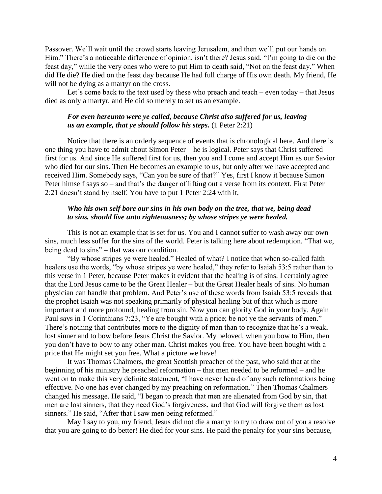Passover. We'll wait until the crowd starts leaving Jerusalem, and then we'll put our hands on Him." There's a noticeable difference of opinion, isn't there? Jesus said, "I'm going to die on the feast day," while the very ones who were to put Him to death said, "Not on the feast day." When did He die? He died on the feast day because He had full charge of His own death. My friend, He will not be dying as a martyr on the cross.

Let's come back to the text used by these who preach and teach – even today – that Jesus died as only a martyr, and He did so merely to set us an example.

## *For even hereunto were ye called, because Christ also suffered for us, leaving us an example, that ye should follow his steps.* (1 Peter 2:21)

Notice that there is an orderly sequence of events that is chronological here. And there is one thing you have to admit about Simon Peter – he is logical. Peter says that Christ suffered first for us. And since He suffered first for us, then you and I come and accept Him as our Savior who died for our sins. Then He becomes an example to us, but only after we have accepted and received Him. Somebody says, "Can you be sure of that?" Yes, first I know it because Simon Peter himself says so – and that's the danger of lifting out a verse from its context. First Peter 2:21 doesn't stand by itself. You have to put 1 Peter 2:24 with it,

## *Who his own self bore our sins in his own body on the tree, that we, being dead to sins, should live unto righteousness; by whose stripes ye were healed.*

This is not an example that is set for us. You and I cannot suffer to wash away our own sins, much less suffer for the sins of the world. Peter is talking here about redemption. "That we, being dead to sins" – that was our condition.

"By whose stripes ye were healed." Healed of what? I notice that when so-called faith healers use the words, "by whose stripes ye were healed," they refer to Isaiah 53:5 rather than to this verse in 1 Peter, because Peter makes it evident that the healing is of sins. I certainly agree that the Lord Jesus came to be the Great Healer – but the Great Healer heals of sins. No human physician can handle that problem. And Peter's use of these words from Isaiah 53:5 reveals that the prophet Isaiah was not speaking primarily of physical healing but of that which is more important and more profound, healing from sin. Now you can glorify God in your body. Again Paul says in 1 Corinthians 7:23, "Ye are bought with a price; be not ye the servants of men." There's nothing that contributes more to the dignity of man than to recognize that he's a weak, lost sinner and to bow before Jesus Christ the Savior. My beloved, when you bow to Him, then you don't have to bow to any other man. Christ makes you free. You have been bought with a price that He might set you free. What a picture we have!

It was Thomas Chalmers, the great Scottish preacher of the past, who said that at the beginning of his ministry he preached reformation – that men needed to be reformed – and he went on to make this very definite statement, "I have never heard of any such reformations being effective. No one has ever changed by my preaching on reformation." Then Thomas Chalmers changed his message. He said, "I began to preach that men are alienated from God by sin, that men are lost sinners, that they need God's forgiveness, and that God will forgive them as lost sinners." He said, "After that I saw men being reformed."

May I say to you, my friend, Jesus did not die a martyr to try to draw out of you a resolve that you are going to do better! He died for your sins. He paid the penalty for your sins because,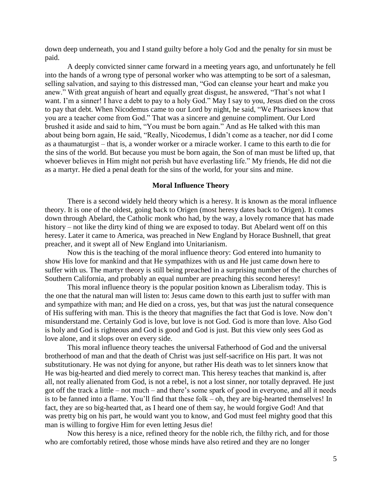down deep underneath, you and I stand guilty before a holy God and the penalty for sin must be paid.

A deeply convicted sinner came forward in a meeting years ago, and unfortunately he fell into the hands of a wrong type of personal worker who was attempting to be sort of a salesman, selling salvation, and saying to this distressed man, "God can cleanse your heart and make you anew." With great anguish of heart and equally great disgust, he answered, "That's not what I want. I'm a sinner! I have a debt to pay to a holy God." May I say to you, Jesus died on the cross to pay that debt. When Nicodemus came to our Lord by night, he said, "We Pharisees know that you are a teacher come from God." That was a sincere and genuine compliment. Our Lord brushed it aside and said to him, "You must be born again." And as He talked with this man about being born again, He said, "Really, Nicodemus, I didn't come as a teacher, nor did I come as a thaumaturgist – that is, a wonder worker or a miracle worker. I came to this earth to die for the sins of the world. But because you must be born again, the Son of man must be lifted up, that whoever believes in Him might not perish but have everlasting life." My friends, He did not die as a martyr. He died a penal death for the sins of the world, for your sins and mine.

#### **Moral Influence Theory**

There is a second widely held theory which is a heresy. It is known as the moral influence theory. It is one of the oldest, going back to Origen (most heresy dates back to Origen). It comes down through Abelard, the Catholic monk who had, by the way, a lovely romance that has made history – not like the dirty kind of thing we are exposed to today. But Abelard went off on this heresy. Later it came to America, was preached in New England by Horace Bushnell, that great preacher, and it swept all of New England into Unitarianism.

Now this is the teaching of the moral influence theory: God entered into humanity to show His love for mankind and that He sympathizes with us and He just came down here to suffer with us. The martyr theory is still being preached in a surprising number of the churches of Southern California, and probably an equal number are preaching this second heresy!

This moral influence theory is the popular position known as Liberalism today. This is the one that the natural man will listen to: Jesus came down to this earth just to suffer with man and sympathize with man; and He died on a cross, yes, but that was just the natural consequence of His suffering with man. This is the theory that magnifies the fact that God is love. Now don't misunderstand me. Certainly God is love, but love is not God. God is more than love. Also God is holy and God is righteous and God is good and God is just. But this view only sees God as love alone, and it slops over on every side.

This moral influence theory teaches the universal Fatherhood of God and the universal brotherhood of man and that the death of Christ was just self-sacrifice on His part. It was not substitutionary. He was not dying for anyone, but rather His death was to let sinners know that He was big-hearted and died merely to correct man. This heresy teaches that mankind is, after all, not really alienated from God, is not a rebel, is not a lost sinner, nor totally depraved. He just got off the track a little – not much – and there's some spark of good in everyone, and all it needs is to be fanned into a flame. You'll find that these folk – oh, they are big-hearted themselves! In fact, they are so big-hearted that, as I heard one of them say, he would forgive God! And that was pretty big on his part, he would want you to know, and God must feel mighty good that this man is willing to forgive Him for even letting Jesus die!

Now this heresy is a nice, refined theory for the noble rich, the filthy rich, and for those who are comfortably retired, those whose minds have also retired and they are no longer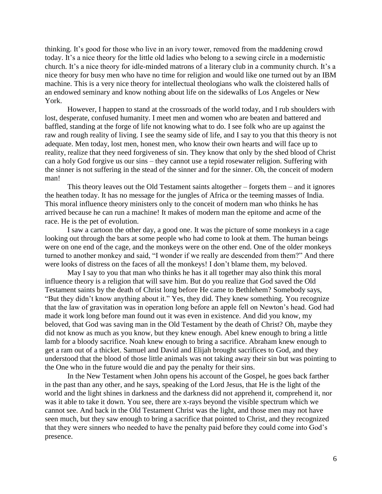thinking. It's good for those who live in an ivory tower, removed from the maddening crowd today. It's a nice theory for the little old ladies who belong to a sewing circle in a modernistic church. It's a nice theory for idle-minded matrons of a literary club in a community church. It's a nice theory for busy men who have no time for religion and would like one turned out by an IBM machine. This is a very nice theory for intellectual theologians who walk the cloistered halls of an endowed seminary and know nothing about life on the sidewalks of Los Angeles or New York.

However, I happen to stand at the crossroads of the world today, and I rub shoulders with lost, desperate, confused humanity. I meet men and women who are beaten and battered and baffled, standing at the forge of life not knowing what to do. I see folk who are up against the raw and rough reality of living. I see the seamy side of life, and I say to you that this theory is not adequate. Men today, lost men, honest men, who know their own hearts and will face up to reality, realize that they need forgiveness of sin. They know that only by the shed blood of Christ can a holy God forgive us our sins – they cannot use a tepid rosewater religion. Suffering with the sinner is not suffering in the stead of the sinner and for the sinner. Oh, the conceit of modern man!

This theory leaves out the Old Testament saints altogether – forgets them – and it ignores the heathen today. It has no message for the jungles of Africa or the teeming masses of India. This moral influence theory ministers only to the conceit of modern man who thinks he has arrived because he can run a machine! It makes of modern man the epitome and acme of the race. He is the pet of evolution.

I saw a cartoon the other day, a good one. It was the picture of some monkeys in a cage looking out through the bars at some people who had come to look at them. The human beings were on one end of the cage, and the monkeys were on the other end. One of the older monkeys turned to another monkey and said, "I wonder if we really are descended from them?" And there were looks of distress on the faces of all the monkeys! I don't blame them, my beloved.

May I say to you that man who thinks he has it all together may also think this moral influence theory is a religion that will save him. But do you realize that God saved the Old Testament saints by the death of Christ long before He came to Bethlehem? Somebody says, "But they didn't know anything about it." Yes, they did. They knew something. You recognize that the law of gravitation was in operation long before an apple fell on Newton's head. God had made it work long before man found out it was even in existence. And did you know, my beloved, that God was saving man in the Old Testament by the death of Christ? Oh, maybe they did not know as much as you know, but they knew enough. Abel knew enough to bring a little lamb for a bloody sacrifice. Noah knew enough to bring a sacrifice. Abraham knew enough to get a ram out of a thicket. Samuel and David and Elijah brought sacrifices to God, and they understood that the blood of those little animals was not taking away their sin but was pointing to the One who in the future would die and pay the penalty for their sins.

In the New Testament when John opens his account of the Gospel, he goes back farther in the past than any other, and he says, speaking of the Lord Jesus, that He is the light of the world and the light shines in darkness and the darkness did not apprehend it, comprehend it, nor was it able to take it down. You see, there are x-rays beyond the visible spectrum which we cannot see. And back in the Old Testament Christ was the light, and those men may not have seen much, but they saw enough to bring a sacrifice that pointed to Christ, and they recognized that they were sinners who needed to have the penalty paid before they could come into God's presence.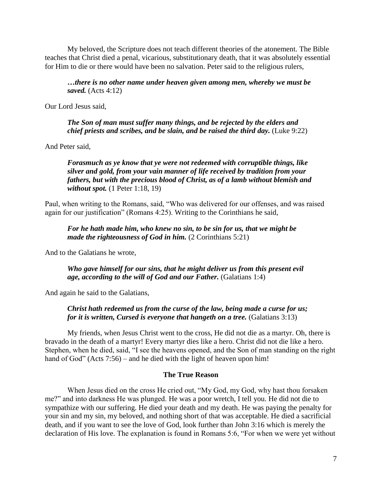My beloved, the Scripture does not teach different theories of the atonement. The Bible teaches that Christ died a penal, vicarious, substitutionary death, that it was absolutely essential for Him to die or there would have been no salvation. Peter said to the religious rulers,

*…there is no other name under heaven given among men, whereby we must be saved.* (Acts 4:12)

Our Lord Jesus said,

*The Son of man must suffer many things, and be rejected by the elders and chief priests and scribes, and be slain, and be raised the third day.* (Luke 9:22)

And Peter said,

*Forasmuch as ye know that ye were not redeemed with corruptible things, like silver and gold, from your vain manner of life received by tradition from your fathers, but with the precious blood of Christ, as of a lamb without blemish and without spot.* (1 Peter 1:18, 19)

Paul, when writing to the Romans, said, "Who was delivered for our offenses, and was raised again for our justification" (Romans 4:25). Writing to the Corinthians he said,

*For he hath made him, who knew no sin, to be sin for us, that we might be made the righteousness of God in him.* (2 Corinthians 5:21)

And to the Galatians he wrote,

*Who gave himself for our sins, that he might deliver us from this present evil age, according to the will of God and our Father.* (Galatians 1:4)

And again he said to the Galatians,

*Christ hath redeemed us from the curse of the law, being made a curse for us; for it is written, Cursed is everyone that hangeth on a tree.* (Galatians 3:13)

My friends, when Jesus Christ went to the cross, He did not die as a martyr. Oh, there is bravado in the death of a martyr! Every martyr dies like a hero. Christ did not die like a hero. Stephen, when he died, said, "I see the heavens opened, and the Son of man standing on the right hand of God" (Acts 7:56) – and he died with the light of heaven upon him!

## **The True Reason**

When Jesus died on the cross He cried out, "My God, my God, why hast thou forsaken me?" and into darkness He was plunged. He was a poor wretch, I tell you. He did not die to sympathize with our suffering. He died your death and my death. He was paying the penalty for your sin and my sin, my beloved, and nothing short of that was acceptable. He died a sacrificial death, and if you want to see the love of God, look further than John 3:16 which is merely the declaration of His love. The explanation is found in Romans 5:6, "For when we were yet without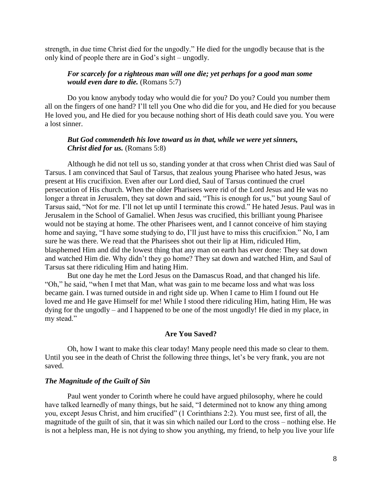strength, in due time Christ died for the ungodly." He died for the ungodly because that is the only kind of people there are in God's sight – ungodly.

## *For scarcely for a righteous man will one die; yet perhaps for a good man some would even dare to die.* (Romans 5:7)

Do you know anybody today who would die for you? Do you? Could you number them all on the fingers of one hand? I'll tell you One who did die for you, and He died for you because He loved you, and He died for you because nothing short of His death could save you. You were a lost sinner.

## *But God commendeth his love toward us in that, while we were yet sinners, Christ died for us.* (Romans 5:8)

Although he did not tell us so, standing yonder at that cross when Christ died was Saul of Tarsus. I am convinced that Saul of Tarsus, that zealous young Pharisee who hated Jesus, was present at His crucifixion. Even after our Lord died, Saul of Tarsus continued the cruel persecution of His church. When the older Pharisees were rid of the Lord Jesus and He was no longer a threat in Jerusalem, they sat down and said, "This is enough for us," but young Saul of Tarsus said, "Not for me. I'll not let up until I terminate this crowd." He hated Jesus. Paul was in Jerusalem in the School of Gamaliel. When Jesus was crucified, this brilliant young Pharisee would not be staying at home. The other Pharisees went, and I cannot conceive of him staying home and saying, "I have some studying to do, I'll just have to miss this crucifixion." No, I am sure he was there. We read that the Pharisees shot out their lip at Him, ridiculed Him, blasphemed Him and did the lowest thing that any man on earth has ever done: They sat down and watched Him die. Why didn't they go home? They sat down and watched Him, and Saul of Tarsus sat there ridiculing Him and hating Him.

But one day he met the Lord Jesus on the Damascus Road, and that changed his life. "Oh," he said, "when I met that Man, what was gain to me became loss and what was loss became gain. I was turned outside in and right side up. When I came to Him I found out He loved me and He gave Himself for me! While I stood there ridiculing Him, hating Him, He was dying for the ungodly – and I happened to be one of the most ungodly! He died in my place, in my stead."

#### **Are You Saved?**

Oh, how I want to make this clear today! Many people need this made so clear to them. Until you see in the death of Christ the following three things, let's be very frank, you are not saved.

## *The Magnitude of the Guilt of Sin*

Paul went yonder to Corinth where he could have argued philosophy, where he could have talked learnedly of many things, but he said, "I determined not to know any thing among you, except Jesus Christ, and him crucified" (1 Corinthians 2:2). You must see, first of all, the magnitude of the guilt of sin, that it was sin which nailed our Lord to the cross – nothing else. He is not a helpless man, He is not dying to show you anything, my friend, to help you live your life